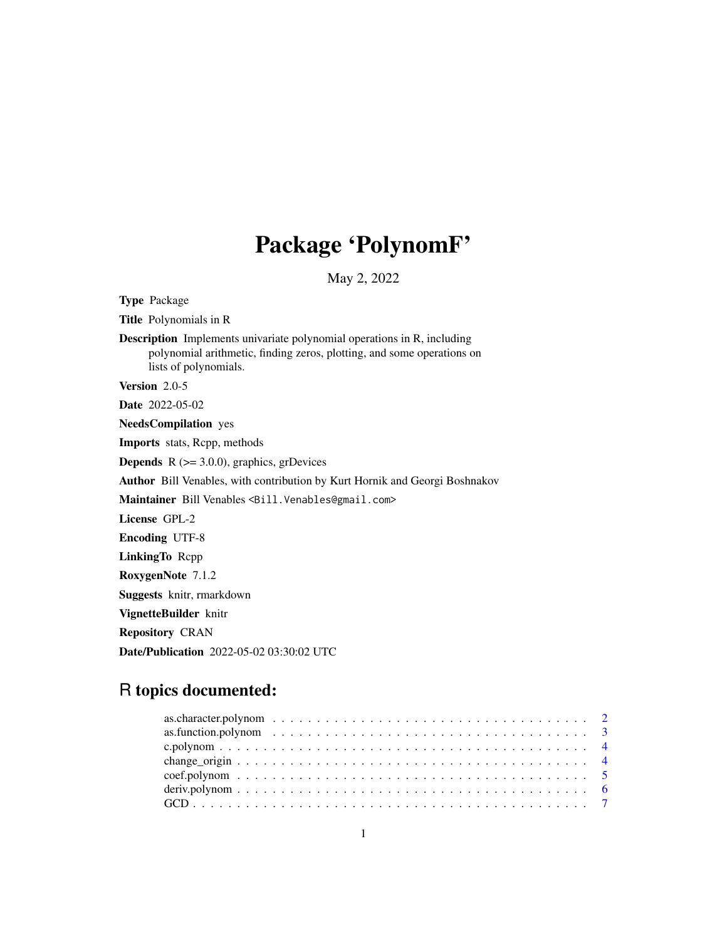# Package 'PolynomF'

May 2, 2022

Type Package Title Polynomials in R Description Implements univariate polynomial operations in R, including polynomial arithmetic, finding zeros, plotting, and some operations on lists of polynomials. Version 2.0-5 Date 2022-05-02 NeedsCompilation yes Imports stats, Rcpp, methods **Depends** R  $(>= 3.0.0)$ , graphics, grDevices Author Bill Venables, with contribution by Kurt Hornik and Georgi Boshnakov Maintainer Bill Venables <Bill.Venables@gmail.com> License GPL-2 Encoding UTF-8 LinkingTo Rcpp RoxygenNote 7.1.2 Suggests knitr, rmarkdown VignetteBuilder knitr Repository CRAN

# R topics documented:

Date/Publication 2022-05-02 03:30:02 UTC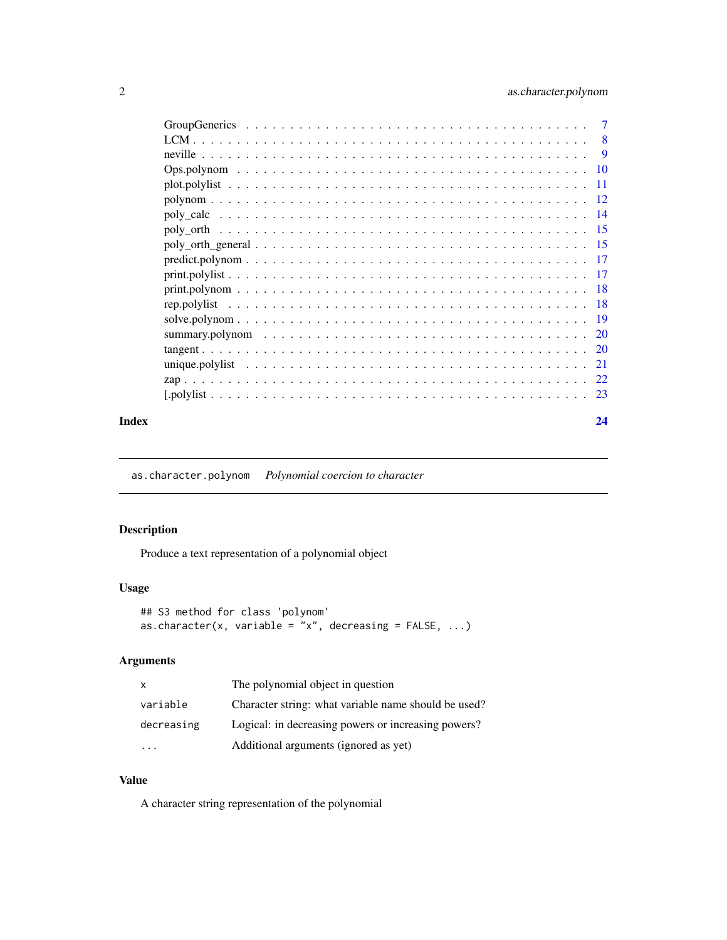<span id="page-1-0"></span>

|                                                                                                          | 8   |
|----------------------------------------------------------------------------------------------------------|-----|
|                                                                                                          | 9   |
| $Ops.polynom \ldots \ldots \ldots \ldots \ldots \ldots \ldots \ldots \ldots \ldots \ldots \ldots \ldots$ | -10 |
|                                                                                                          | -11 |
|                                                                                                          | -12 |
|                                                                                                          | -14 |
|                                                                                                          | -15 |
|                                                                                                          | -15 |
| $predict, polym$                                                                                         | 17  |
|                                                                                                          | -17 |
|                                                                                                          | -18 |
|                                                                                                          | -18 |
|                                                                                                          | -19 |
|                                                                                                          |     |
|                                                                                                          |     |
|                                                                                                          | 21  |
|                                                                                                          | 22. |
|                                                                                                          | 23  |
|                                                                                                          |     |

#### **Index** [24](#page-23-0)

as.character.polynom *Polynomial coercion to character*

# Description

Produce a text representation of a polynomial object

# Usage

```
## S3 method for class 'polynom'
as.character(x, variable = "x", decreasing = FALSE, ...)
```
# Arguments

| X          | The polynomial object in question                    |
|------------|------------------------------------------------------|
| variable   | Character string: what variable name should be used? |
| decreasing | Logical: in decreasing powers or increasing powers?  |
|            | Additional arguments (ignored as yet)                |

#### Value

A character string representation of the polynomial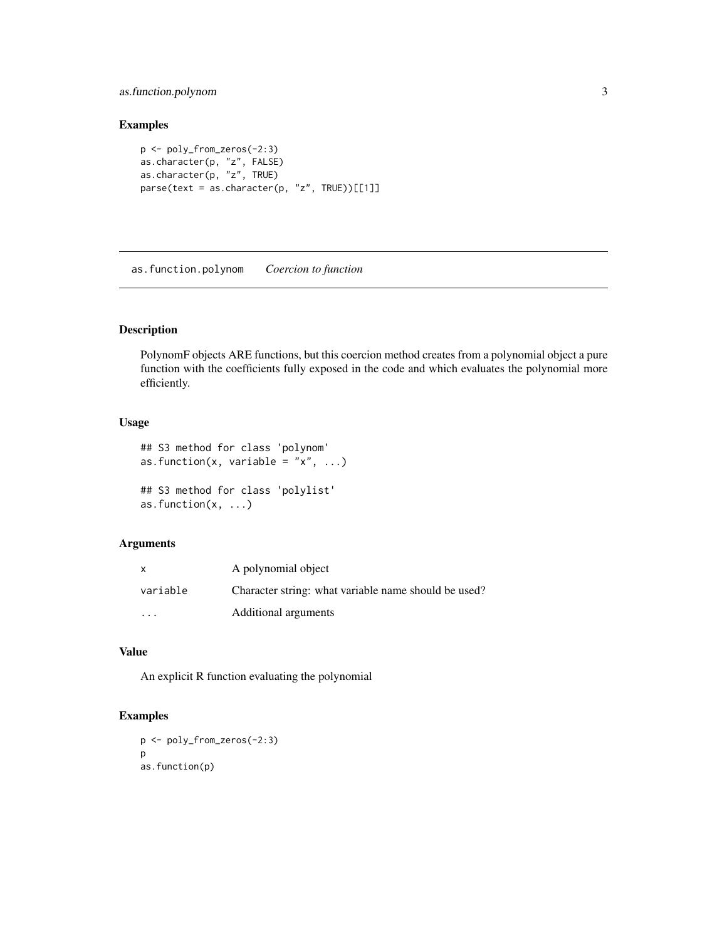<span id="page-2-0"></span>as.function.polynom 3

#### Examples

```
p <- poly_from_zeros(-2:3)
as.character(p, "z", FALSE)
as.character(p, "z", TRUE)
parse(text = as.character(p, "z", TRUE))[[1]]
```
as.function.polynom *Coercion to function*

# Description

PolynomF objects ARE functions, but this coercion method creates from a polynomial object a pure function with the coefficients fully exposed in the code and which evaluates the polynomial more efficiently.

#### Usage

```
## S3 method for class 'polynom'
as.function(x, variable = "x", ...)
## S3 method for class 'polylist'
as.function(x, ...)
```
# Arguments

| x                       | A polynomial object                                  |
|-------------------------|------------------------------------------------------|
| variable                | Character string: what variable name should be used? |
| $\cdot$ $\cdot$ $\cdot$ | Additional arguments                                 |

#### Value

An explicit R function evaluating the polynomial

```
p <- poly_from_zeros(-2:3)
p
as.function(p)
```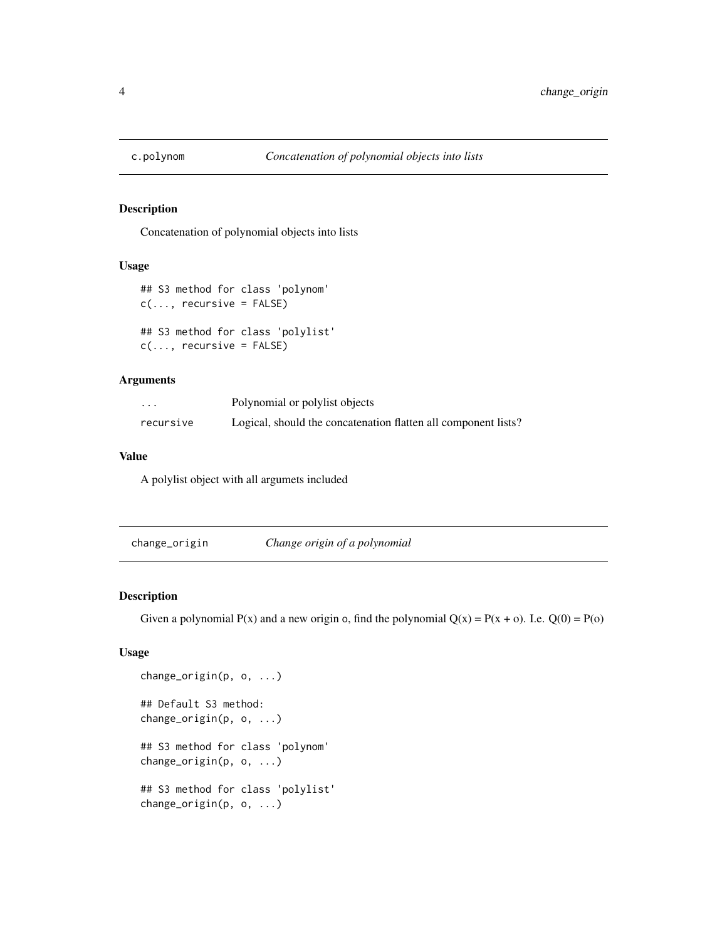<span id="page-3-0"></span>

Concatenation of polynomial objects into lists

#### Usage

```
## S3 method for class 'polynom'
c(\ldots, recursive = FALSE)
```

```
## S3 method for class 'polylist'
c(\ldots, recursive = FALSE)
```
### Arguments

| .         | Polynomial or polylist objects                                 |
|-----------|----------------------------------------------------------------|
| recursive | Logical, should the concatenation flatten all component lists? |

# Value

A polylist object with all argumets included

change\_origin *Change origin of a polynomial*

#### Description

Given a polynomial  $P(x)$  and a new origin o, find the polynomial  $Q(x) = P(x + 0)$ . I.e.  $Q(0) = P(0)$ 

# Usage

```
change_origin(p, o, ...)
## Default S3 method:
change_origin(p, o, ...)
## S3 method for class 'polynom'
change_origin(p, o, ...)
## S3 method for class 'polylist'
change_origin(p, o, ...)
```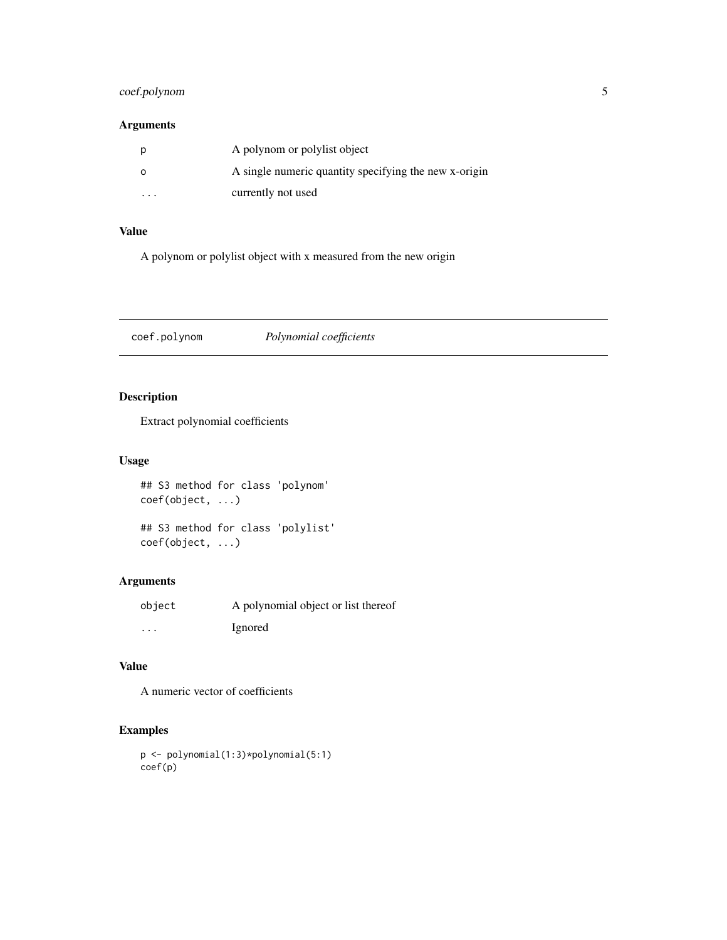# <span id="page-4-0"></span>coef.polynom 5

# Arguments

|          | A polynom or polylist object                          |
|----------|-------------------------------------------------------|
|          | A single numeric quantity specifying the new x-origin |
| $\cdots$ | currently not used                                    |

#### Value

A polynom or polylist object with x measured from the new origin

coef.polynom *Polynomial coefficients*

# Description

Extract polynomial coefficients

# Usage

## S3 method for class 'polynom' coef(object, ...)

## S3 method for class 'polylist' coef(object, ...)

# Arguments

| object   | A polynomial object or list thereof |
|----------|-------------------------------------|
| $\cdots$ | Ignored                             |

# Value

A numeric vector of coefficients

```
p <- polynomial(1:3)*polynomial(5:1)
coef(p)
```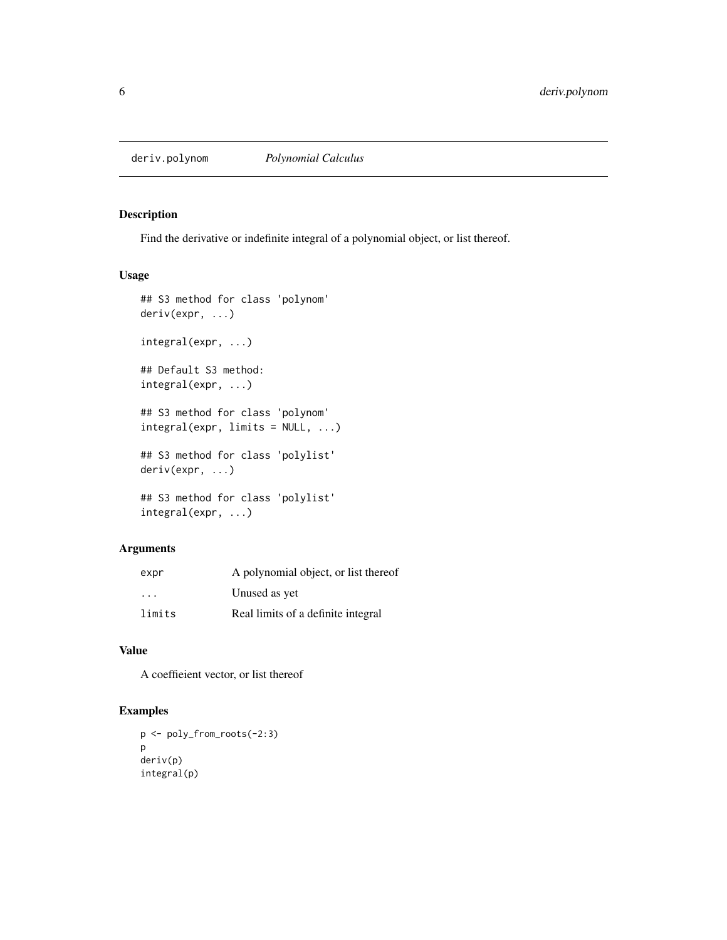<span id="page-5-0"></span>Find the derivative or indefinite integral of a polynomial object, or list thereof.

#### Usage

```
## S3 method for class 'polynom'
deriv(expr, ...)
integral(expr, ...)
## Default S3 method:
integral(expr, ...)
## S3 method for class 'polynom'
integral(expr, limits = NULL, ...)
## S3 method for class 'polylist'
deriv(expr, ...)
## S3 method for class 'polylist'
integral(expr, ...)
```
# Arguments

| expr                    | A polynomial object, or list thereof |
|-------------------------|--------------------------------------|
| $\cdot$ $\cdot$ $\cdot$ | Unused as yet                        |
| limits                  | Real limits of a definite integral   |

### Value

A coeffieient vector, or list thereof

```
p <- poly_from_roots(-2:3)
p
deriv(p)
integral(p)
```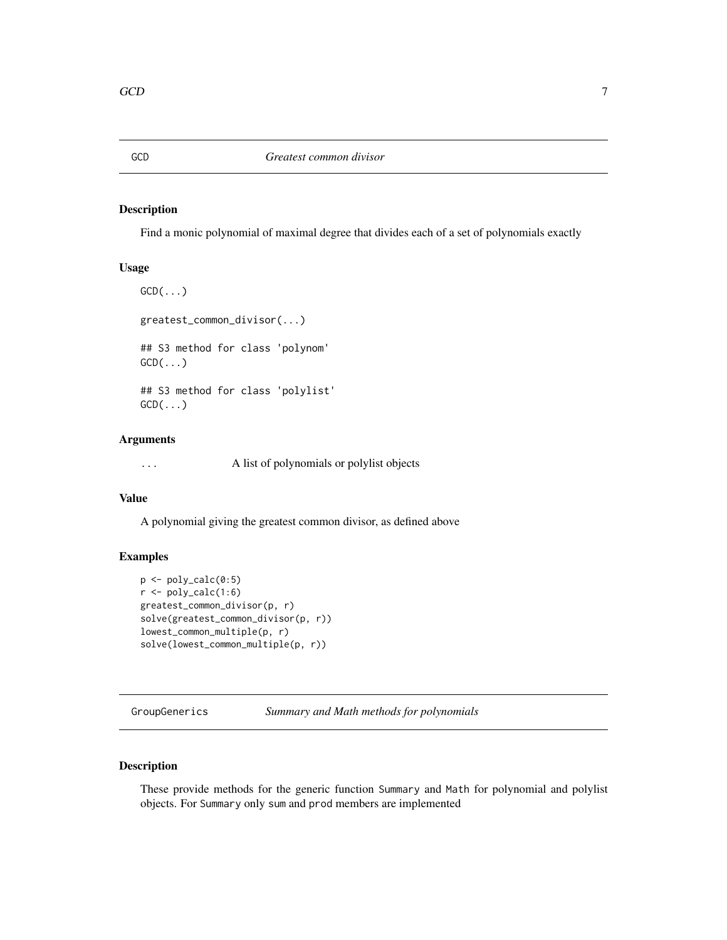<span id="page-6-0"></span>

Find a monic polynomial of maximal degree that divides each of a set of polynomials exactly

#### Usage

 $GCD(\ldots)$ greatest\_common\_divisor(...) ## S3 method for class 'polynom'  $GCD(\ldots)$ ## S3 method for class 'polylist'  $GCD(\ldots)$ 

# Arguments

... A list of polynomials or polylist objects

#### Value

A polynomial giving the greatest common divisor, as defined above

#### Examples

```
p <- poly_calc(0:5)
r \leftarrow poly\_calc(1:6)greatest_common_divisor(p, r)
solve(greatest_common_divisor(p, r))
lowest_common_multiple(p, r)
solve(lowest_common_multiple(p, r))
```
GroupGenerics *Summary and Math methods for polynomials*

# Description

These provide methods for the generic function Summary and Math for polynomial and polylist objects. For Summary only sum and prod members are implemented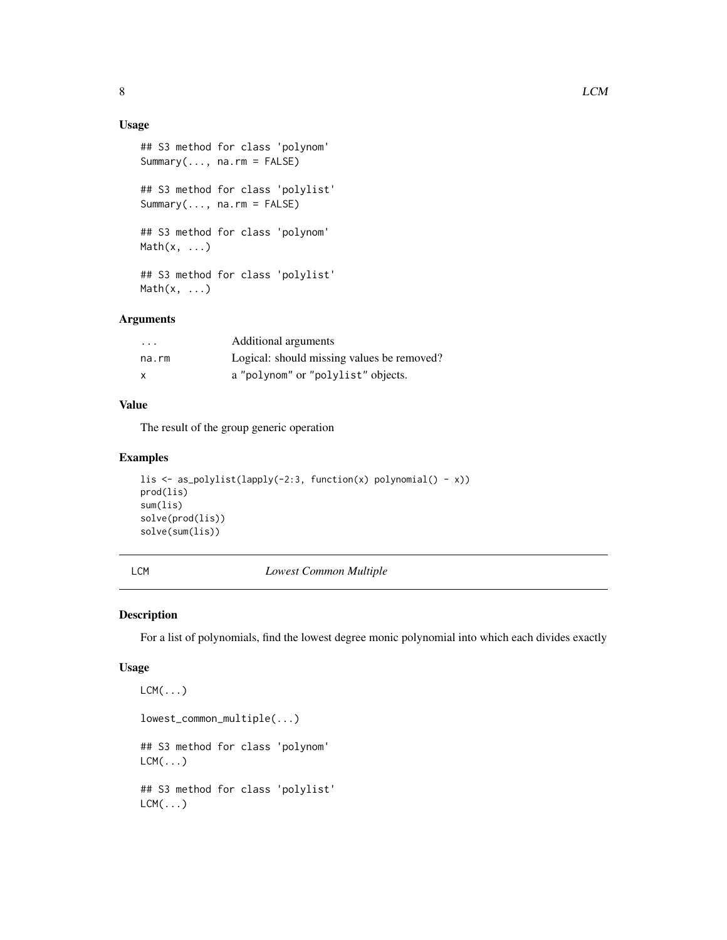# <span id="page-7-0"></span>Usage

```
## S3 method for class 'polynom'
Summary(..., na.rm = FALSE)
## S3 method for class 'polylist'
Summary(..., na.rm = FALSE)
## S3 method for class 'polynom'
Math(x, \ldots)## S3 method for class 'polylist'
Math(x, \ldots)
```
# Arguments

| $\cdots$ | Additional arguments                       |
|----------|--------------------------------------------|
| na.rm    | Logical: should missing values be removed? |
| X        | a "polynom" or "polylist" objects.         |

# Value

The result of the group generic operation

# Examples

```
lis <- as_polylist(lapply(-2:3, function(x) polynomial() - x))
prod(lis)
sum(lis)
solve(prod(lis))
solve(sum(lis))
```
LCM *Lowest Common Multiple*

# Description

For a list of polynomials, find the lowest degree monic polynomial into which each divides exactly

#### Usage

```
LCM(...)
lowest_common_multiple(...)
## S3 method for class 'polynom'
LCM( \ldots )## S3 method for class 'polylist'
LCM( \ldots )
```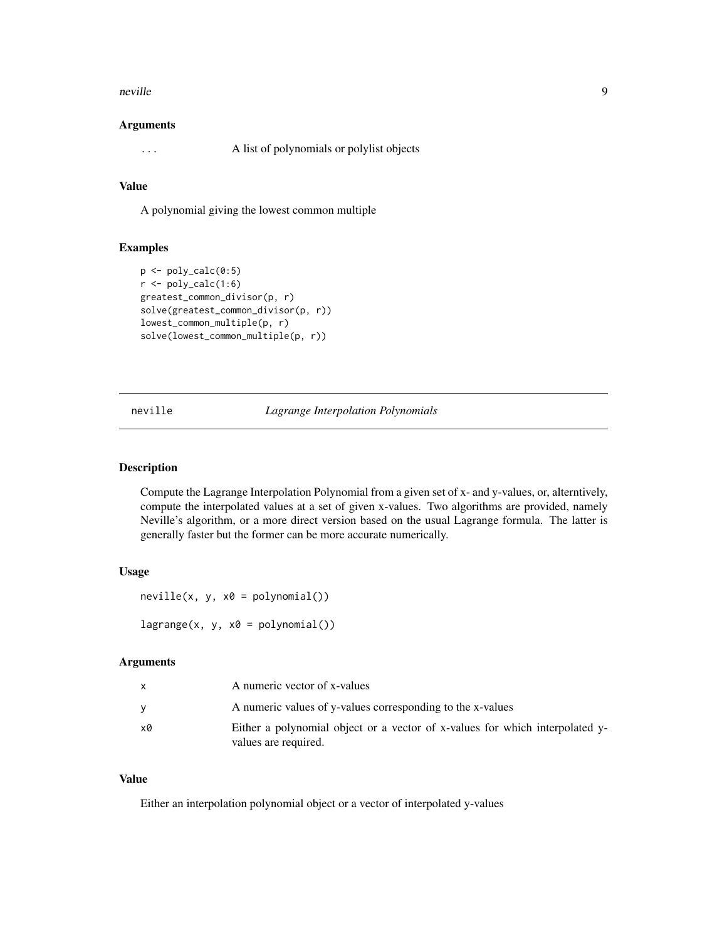#### <span id="page-8-0"></span>neville **9**9

#### Arguments

... A list of polynomials or polylist objects

# Value

A polynomial giving the lowest common multiple

### Examples

```
p <- poly_calc(0:5)
r < poly\_calc(1:6)greatest_common_divisor(p, r)
solve(greatest_common_divisor(p, r))
lowest_common_multiple(p, r)
solve(lowest_common_multiple(p, r))
```
neville *Lagrange Interpolation Polynomials*

#### Description

Compute the Lagrange Interpolation Polynomial from a given set of x- and y-values, or, alterntively, compute the interpolated values at a set of given x-values. Two algorithms are provided, namely Neville's algorithm, or a more direct version based on the usual Lagrange formula. The latter is generally faster but the former can be more accurate numerically.

#### Usage

```
neville(x, y, x0 = polynomial())lagrange(x, y, x0 = polynomial())
```
Arguments

|    | A numeric vector of x-values                                                                         |
|----|------------------------------------------------------------------------------------------------------|
|    | A numeric values of y-values corresponding to the x-values                                           |
| x0 | Either a polynomial object or a vector of x-values for which interpolated y-<br>values are required. |

#### Value

Either an interpolation polynomial object or a vector of interpolated y-values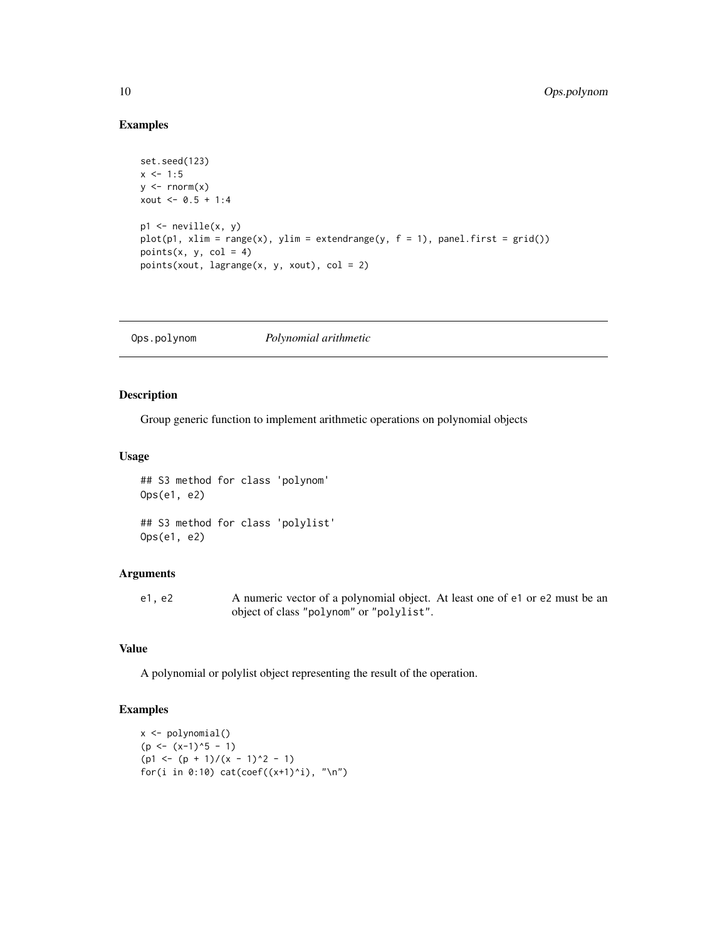# Examples

```
set.seed(123)
x \le -1:5y \le - rnorm(x)xout <-0.5 + 1:4p1 <- neville(x, y)
plot(p1, xlim = range(x), ylim = extendedrange(y, f = 1), panel-first = grid())points(x, y, col = 4)points(xout, lagrange(x, y, xout), col = 2)
```
Ops.polynom *Polynomial arithmetic*

## Description

Group generic function to implement arithmetic operations on polynomial objects

#### Usage

```
## S3 method for class 'polynom'
Ops(e1, e2)
## S3 method for class 'polylist'
Ops(e1, e2)
```
# Arguments

e1, e2 A numeric vector of a polynomial object. At least one of e1 or e2 must be an object of class "polynom" or "polylist".

#### Value

A polynomial or polylist object representing the result of the operation.

```
x <- polynomial()
(p \leftarrow (x-1)^5 - 1)(p1 \leftarrow (p + 1)/(x - 1)^2 - 1)for(i in 0:10) cat(coef((x+1)^{i}), "\n")
```
<span id="page-9-0"></span>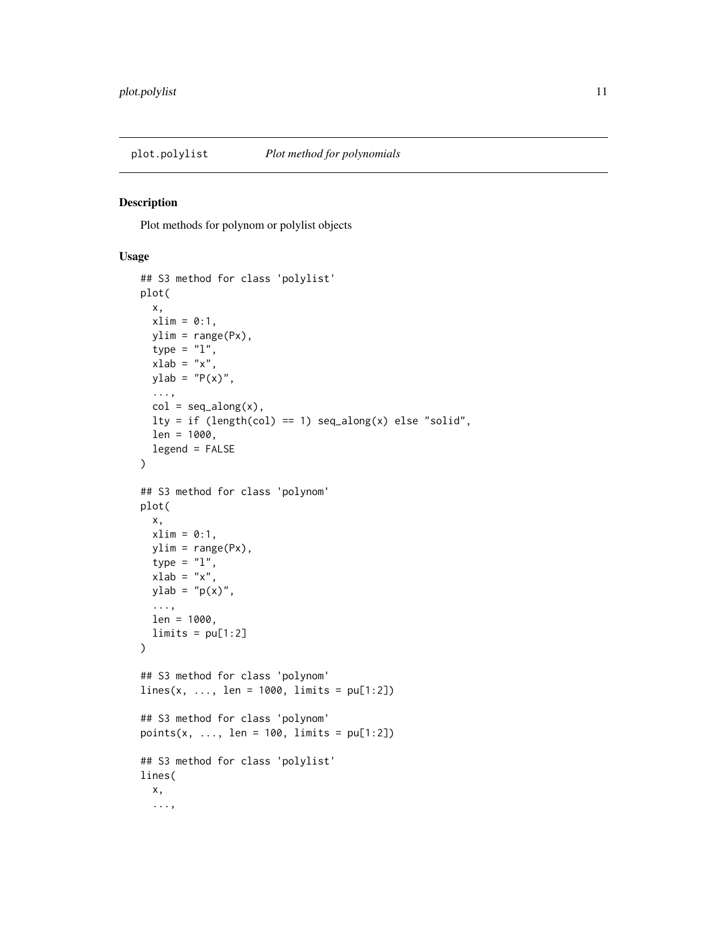<span id="page-10-0"></span>

Plot methods for polynom or polylist objects

#### Usage

```
## S3 method for class 'polylist'
plot(
 x,
 xlim = 0:1,
 ylim = range(Px),
  type = "1",xlab = "x",
 ylab = "P(x)",
  ...,
  col = seq_along(x),
 lty = if (length(col) == 1) seq\_along(x) else "solid",
  len = 1000,
  legend = FALSE
)
## S3 method for class 'polynom'
plot(
  x,
 xlim = 0:1,
 ylim = range(Px),
  type = "1",xlab = "x",
 ylab = "p(x)",
  ...,
  len = 1000,
 limits = pu[1:2]\lambda## S3 method for class 'polynom'
lines(x, ..., len = 1000, limits = pu[1:2])## S3 method for class 'polynom'
points(x, ..., len = 100, limits = pu[1:2])
## S3 method for class 'polylist'
lines(
  x,
  ...,
```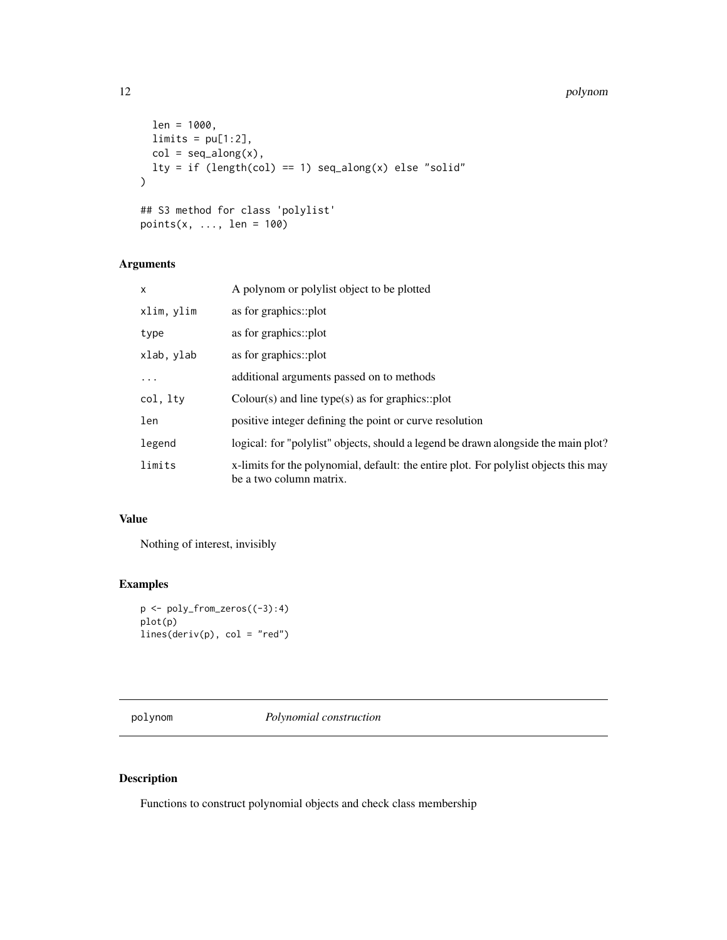#### 12 polynom and the contract of the contract of the contract of the contract of the contract of the contract of the contract of the contract of the contract of the contract of the contract of the contract of the contract of

```
len = 1000,
 limits = pu[1:2],col = seq\_along(x),
 lty = if (length(col) == 1) seq\_along(x) else "solid"
)
## S3 method for class 'polylist'
points(x, \dots, len = 100)
```
# Arguments

| X          | A polynom or polylist object to be plotted                                                                      |
|------------|-----------------------------------------------------------------------------------------------------------------|
| xlim, ylim | as for graphics::plot                                                                                           |
| type       | as for graphics::plot                                                                                           |
| xlab, ylab | as for graphics::plot                                                                                           |
| .          | additional arguments passed on to methods                                                                       |
| col, lty   | $Color(s)$ and line type(s) as for graphics::plot                                                               |
| len        | positive integer defining the point or curve resolution                                                         |
| legend     | logical: for "polylist" objects, should a legend be drawn alongside the main plot?                              |
| limits     | x-limits for the polynomial, default: the entire plot. For polylist objects this may<br>be a two column matrix. |

### Value

Nothing of interest, invisibly

# Examples

```
p <- poly_from_zeros((-3):4)
plot(p)
lines(deriv(p), col = "red")
```
polynom *Polynomial construction*

# Description

Functions to construct polynomial objects and check class membership

<span id="page-11-0"></span>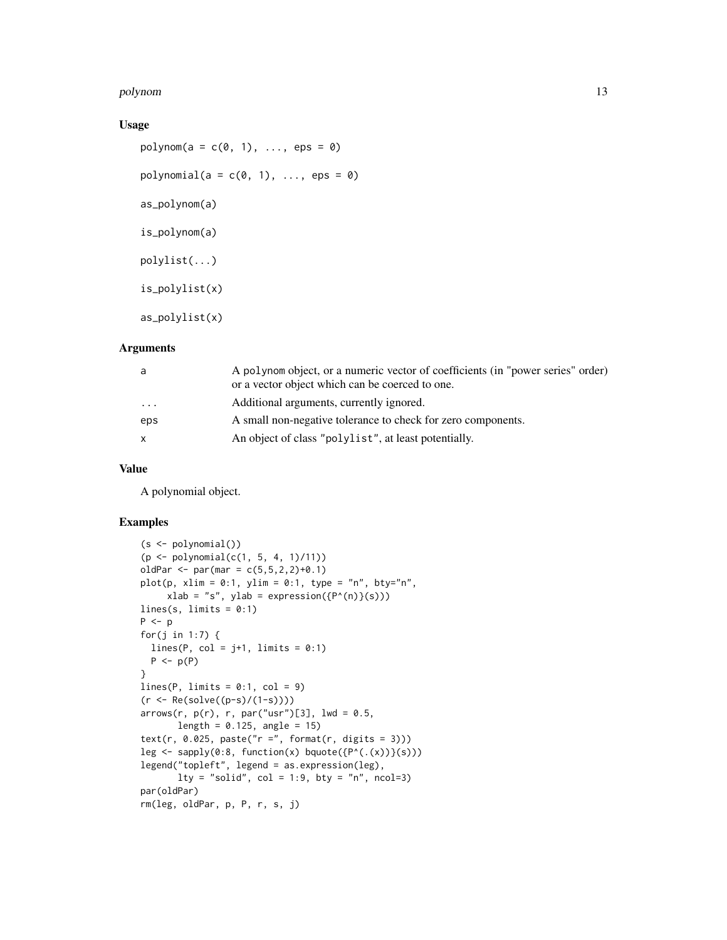#### polynom 13

#### Usage

 $polynom(a = c(0, 1), \ldots, ens = 0)$ polynomial( $a = c(0, 1), \ldots$ , eps = 0) as\_polynom(a) is\_polynom(a) polylist(...) is\_polylist(x) as\_polylist(x)

#### Arguments

| a   | A polynom object, or a numeric vector of coefficients (in "power series" order)<br>or a vector object which can be coerced to one. |
|-----|------------------------------------------------------------------------------------------------------------------------------------|
| .   | Additional arguments, currently ignored.                                                                                           |
| eps | A small non-negative tolerance to check for zero components.                                                                       |
| x   | An object of class "polylist", at least potentially.                                                                               |
|     |                                                                                                                                    |

#### Value

A polynomial object.

```
(s <- polynomial())
(p \leq -\text{polynomial}(c(1, 5, 4, 1)/11))oldPar \leq par(mar = c(5,5,2,2)+0.1)
plot(p, xlim = 0:1, ylim = 0:1, type = "n", bty="n",xlab = "s", ylab = expression({P^(n)}(s)))lines(s, limits = 0:1)
P <- p
for(j in 1:7) {
  lines(P, col = j+1, limits = 0:1)
  P \leftarrow p(P)}
lines(P, limits = 0:1, col = 9)
(r <- Re(solve((p-s)/(1-s))))
arrows(r, p(r), r, par("usr")[3], lwd = 0.5,length = 0.125, angle = 15)
text(r, 0.025, paste("r =", format(r, digits = 3)))
leg \leq sapply(0:8, function(x) bquote({P^((.x))}(s)))
legend("topleft", legend = as.expression(leg),
       lty = "solid", col = 1:9, bty = "n", ncol=3)par(oldPar)
rm(leg, oldPar, p, P, r, s, j)
```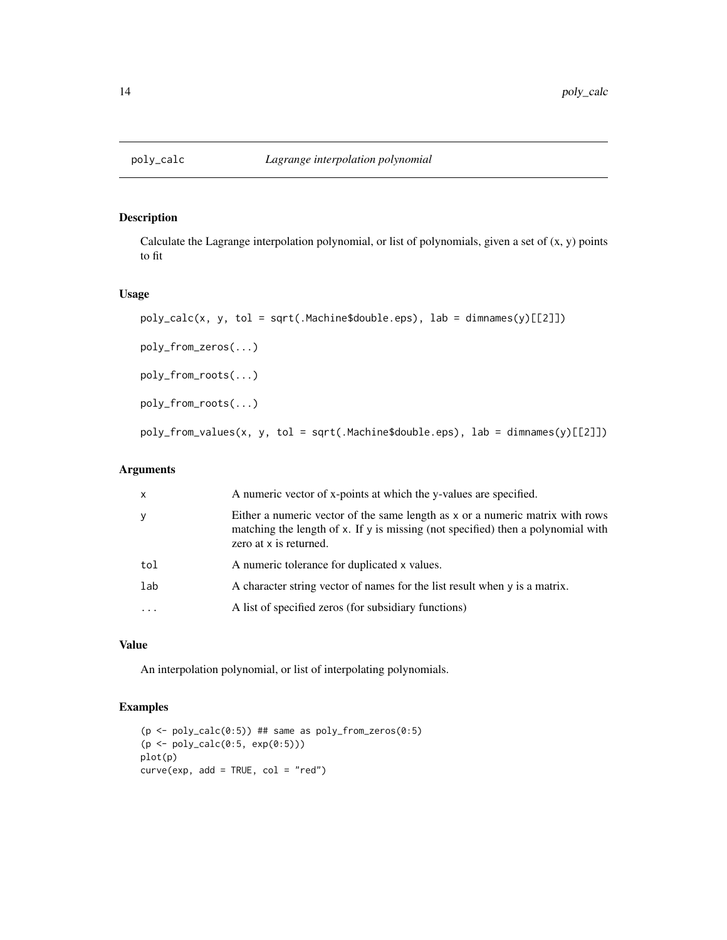<span id="page-13-0"></span>

Calculate the Lagrange interpolation polynomial, or list of polynomials, given a set of  $(x, y)$  points to fit

#### Usage

```
poly_calc(x, y, tol = sqrt(.Machine$double.eps), lab = dimnames(y)[[2]])
poly_from_zeros(...)
poly_from_roots(...)
poly_from_roots(...)
poly_from_values(x, y, tol = sqrt(.Machine$double.eps), lab = dimnames(y)[[2]])
```
# Arguments

| $\mathsf{x}$ | A numeric vector of x-points at which the y-values are specified.                                                                                                                           |
|--------------|---------------------------------------------------------------------------------------------------------------------------------------------------------------------------------------------|
| y            | Either a numeric vector of the same length as x or a numeric matrix with rows<br>matching the length of x. If y is missing (not specified) then a polynomial with<br>zero at x is returned. |
| tol          | A numeric tolerance for duplicated x values.                                                                                                                                                |
| lab          | A character string vector of names for the list result when $\gamma$ is a matrix.                                                                                                           |
| $\cdot$      | A list of specified zeros (for subsidiary functions)                                                                                                                                        |
|              |                                                                                                                                                                                             |

#### Value

An interpolation polynomial, or list of interpolating polynomials.

```
(p \leq poly\_calc(0:5)) ## same as poly\_from\_zeros(0:5)(p <- poly_calc(0:5, exp(0:5)))
plot(p)
curve(exp, add = TRUE, col = "red")
```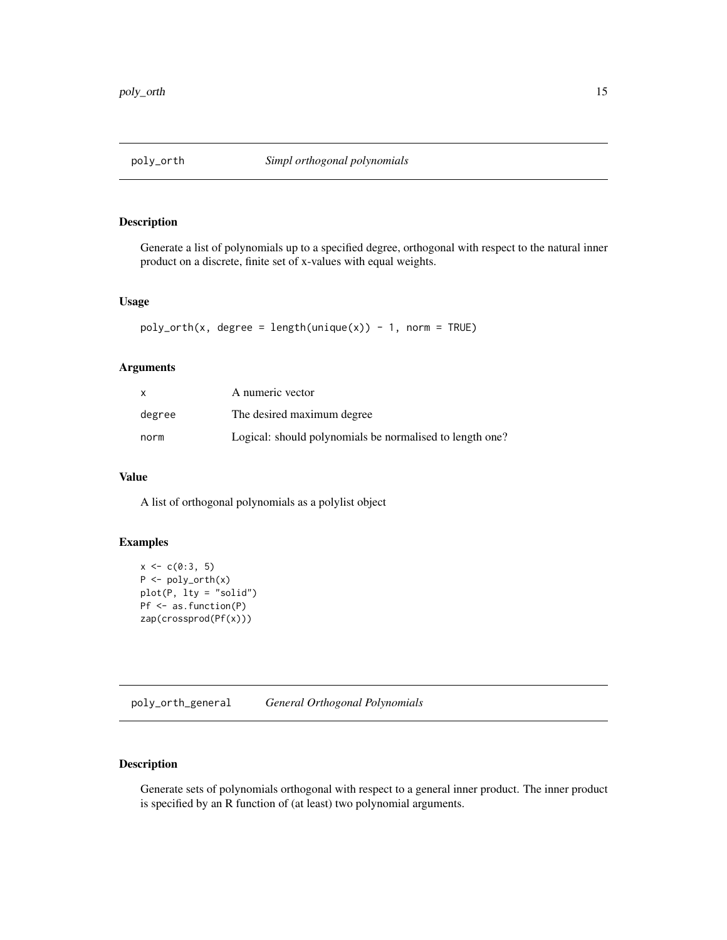<span id="page-14-0"></span>

Generate a list of polynomials up to a specified degree, orthogonal with respect to the natural inner product on a discrete, finite set of x-values with equal weights.

#### Usage

```
poly_orth(x, degree = length(unique(x)) - 1, norm = TRUE)
```
#### Arguments

| x      | A numeric vector                                         |
|--------|----------------------------------------------------------|
| degree | The desired maximum degree                               |
| norm   | Logical: should polynomials be normalised to length one? |

# Value

A list of orthogonal polynomials as a polylist object

# Examples

```
x \leftarrow c(0:3, 5)P \leftarrow poly_orth(x)plot(P, lty = "solid")
Pf <- as.function(P)
zap(crossprod(Pf(x)))
```
poly\_orth\_general *General Orthogonal Polynomials*

#### Description

Generate sets of polynomials orthogonal with respect to a general inner product. The inner product is specified by an R function of (at least) two polynomial arguments.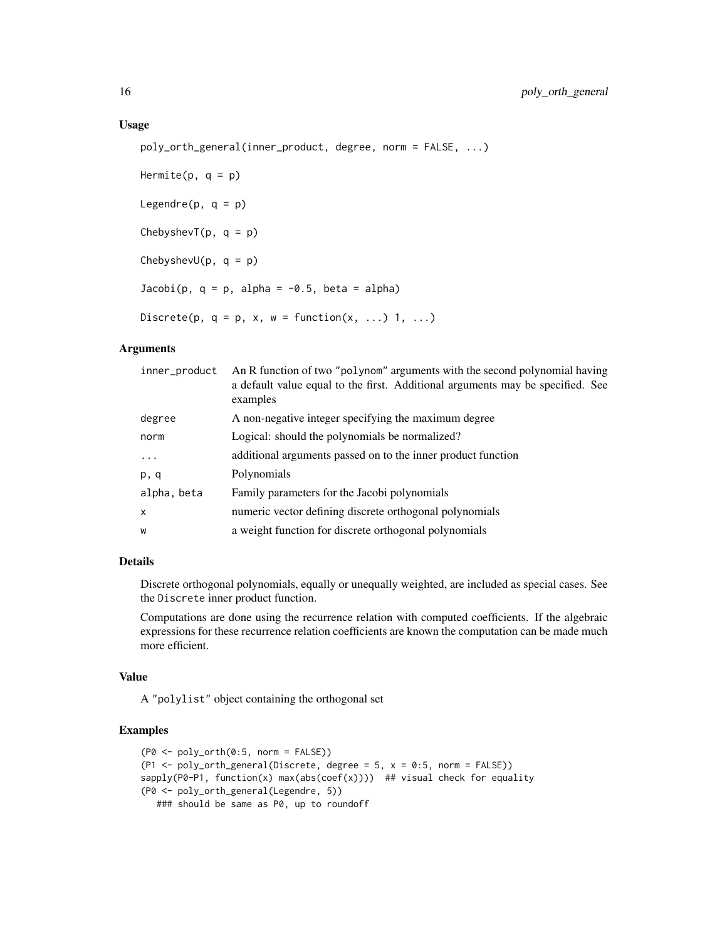#### Usage

```
poly_orth_general(inner_product, degree, norm = FALSE, ...)
```

```
Hermite(p, q = p)
Legendre(p, q = p)
ChebyshevT(p, q = p)ChebyshevU(p, q = p)Jacobi(p, q = p, alpha = -0.5, beta = alpha)Discrete(p, q = p, x, w = function(x, \ldots) 1, ...)
```
#### Arguments

| inner_product | An R function of two "polynom" arguments with the second polynomial having<br>a default value equal to the first. Additional arguments may be specified. See<br>examples |
|---------------|--------------------------------------------------------------------------------------------------------------------------------------------------------------------------|
| degree        | A non-negative integer specifying the maximum degree                                                                                                                     |
| norm          | Logical: should the polynomials be normalized?                                                                                                                           |
| .             | additional arguments passed on to the inner product function                                                                                                             |
| p, q          | Polynomials                                                                                                                                                              |
| alpha, beta   | Family parameters for the Jacobi polynomials                                                                                                                             |
| $\mathsf{x}$  | numeric vector defining discrete orthogonal polynomials                                                                                                                  |
| W             | a weight function for discrete orthogonal polynomials                                                                                                                    |

# Details

Discrete orthogonal polynomials, equally or unequally weighted, are included as special cases. See the Discrete inner product function.

Computations are done using the recurrence relation with computed coefficients. If the algebraic expressions for these recurrence relation coefficients are known the computation can be made much more efficient.

#### Value

A "polylist" object containing the orthogonal set

```
(P0 \leq poly_{\text{orth}}(0:5, \text{norm} = FALSE))(P1 \leq-poly_orth_general(Discrete, degree = 5, x = 0:5, norm = FALSE))sapply(P0-P1, function(x) max(abs(coef(x)))) ## visual check for equality
(P0 <- poly_orth_general(Legendre, 5))
  ### should be same as P0, up to roundoff
```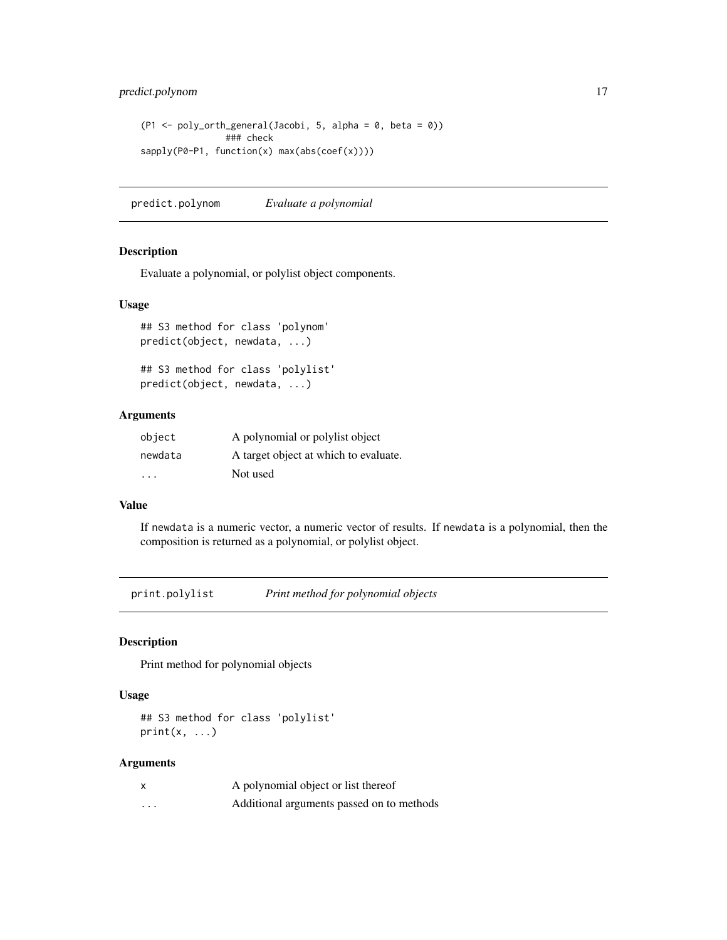<span id="page-16-0"></span>predict.polynom 17

```
(P1 \leq-poly_orth_general(Jacobi, 5, alpha = 0, beta = 0))### check
sapply(P0-P1, function(x) max(abs(coef(x))))
```
predict.polynom *Evaluate a polynomial*

#### Description

Evaluate a polynomial, or polylist object components.

#### Usage

```
## S3 method for class 'polynom'
predict(object, newdata, ...)
```

```
## S3 method for class 'polylist'
predict(object, newdata, ...)
```
# Arguments

| object                  | A polynomial or polylist object       |
|-------------------------|---------------------------------------|
| newdata                 | A target object at which to evaluate. |
| $\cdot$ $\cdot$ $\cdot$ | Not used                              |

#### Value

If newdata is a numeric vector, a numeric vector of results. If newdata is a polynomial, then the composition is returned as a polynomial, or polylist object.

print.polylist *Print method for polynomial objects*

#### Description

Print method for polynomial objects

#### Usage

## S3 method for class 'polylist'  $print(x, \ldots)$ 

#### Arguments

| X        | A polynomial object or list thereof       |
|----------|-------------------------------------------|
| $\cdots$ | Additional arguments passed on to methods |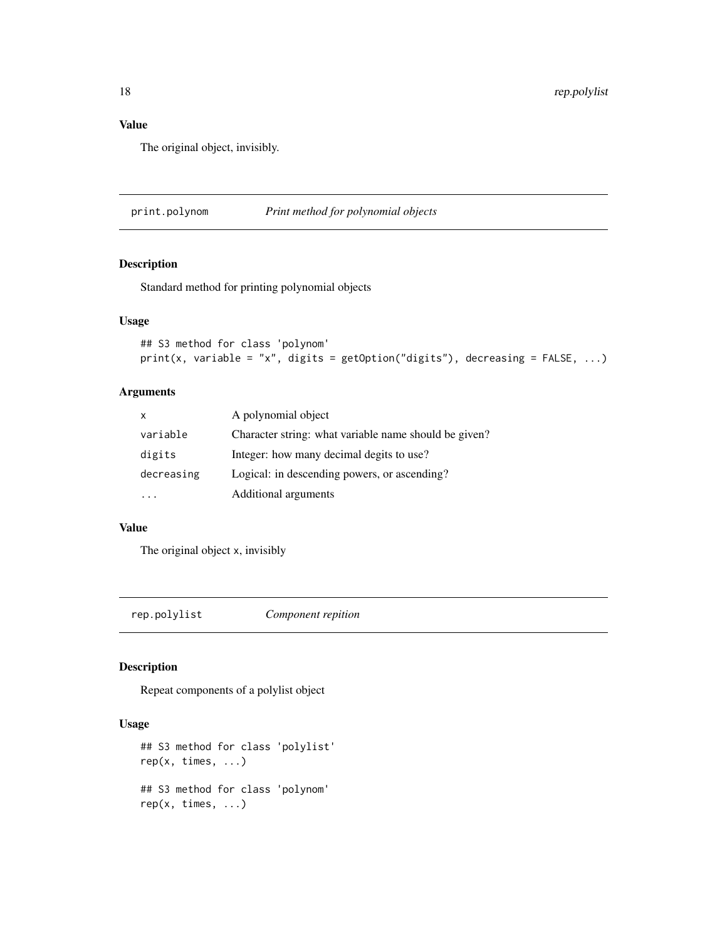# Value

The original object, invisibly.

print.polynom *Print method for polynomial objects*

# Description

Standard method for printing polynomial objects

### Usage

```
## S3 method for class 'polynom'
print(x, variable = "x", digits = getOption("digits"), decreasing = FALSE, ...)
```
#### Arguments

| X          | A polynomial object                                   |
|------------|-------------------------------------------------------|
| variable   | Character string: what variable name should be given? |
| digits     | Integer: how many decimal degits to use?              |
| decreasing | Logical: in descending powers, or ascending?          |
|            | Additional arguments                                  |

#### Value

The original object x, invisibly

rep.polylist *Component repition*

#### Description

Repeat components of a polylist object

# Usage

```
## S3 method for class 'polylist'
rep(x, times, ...)
## S3 method for class 'polynom'
rep(x, time, ...)
```
<span id="page-17-0"></span>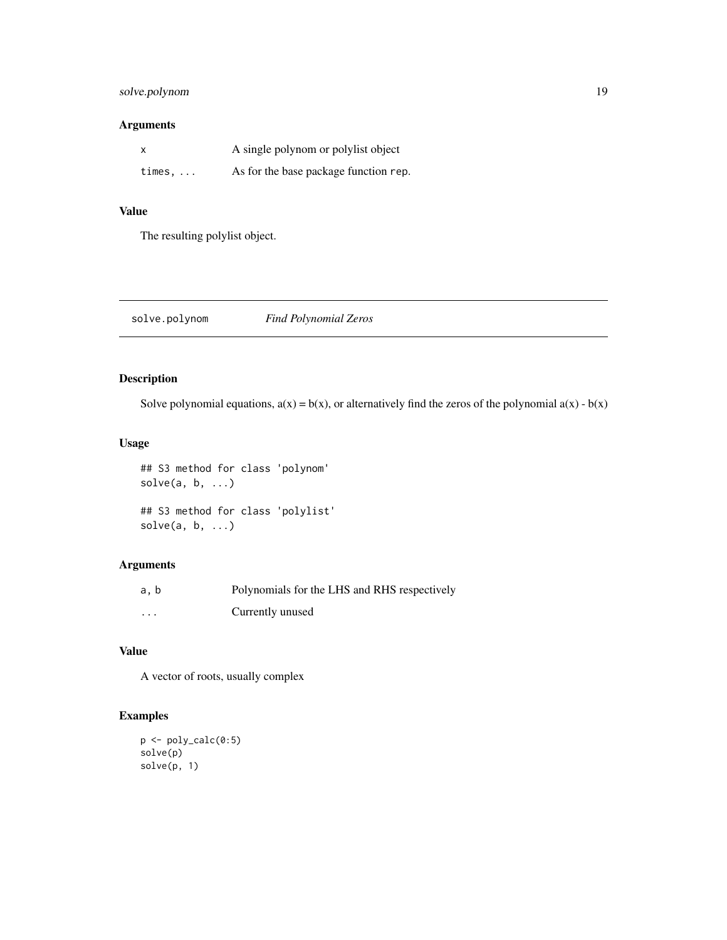# <span id="page-18-0"></span>solve.polynom 19

# Arguments

|                | A single polynom or polylist object   |
|----------------|---------------------------------------|
| times, $\dots$ | As for the base package function rep. |

# Value

The resulting polylist object.

solve.polynom *Find Polynomial Zeros*

# Description

Solve polynomial equations,  $a(x) = b(x)$ , or alternatively find the zeros of the polynomial  $a(x) - b(x)$ 

# Usage

```
## S3 method for class 'polynom'
solve(a, b, ...)
## S3 method for class 'polylist'
solve(a, b, ...)
```
# Arguments

| a, b     | Polynomials for the LHS and RHS respectively |
|----------|----------------------------------------------|
| $\cdots$ | Currently unused                             |

# Value

A vector of roots, usually complex

```
p <- poly_calc(0:5)
solve(p)
solve(p, 1)
```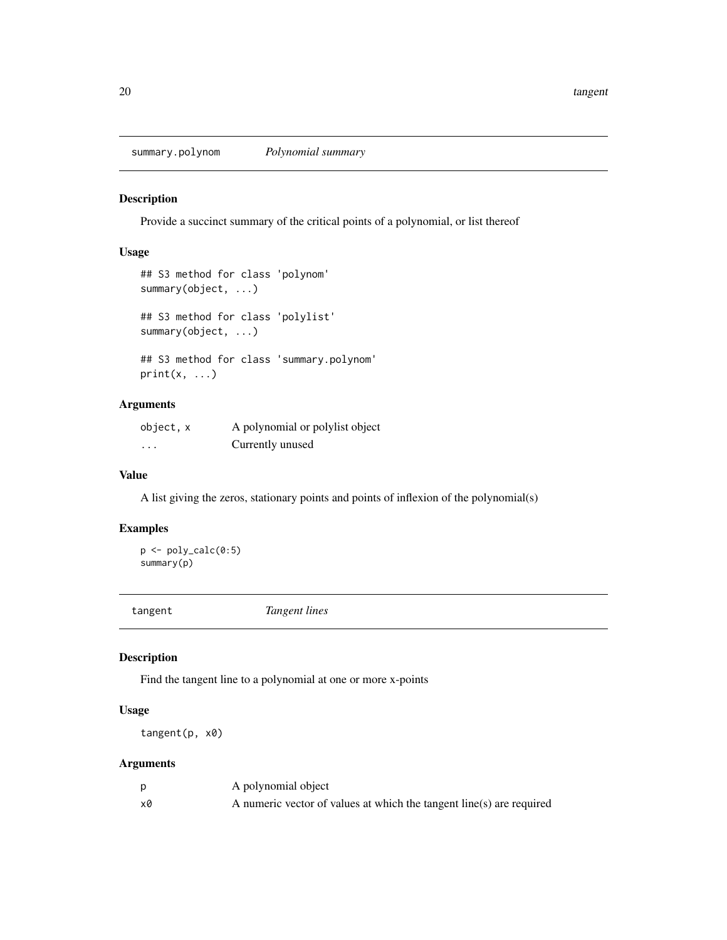<span id="page-19-0"></span>summary.polynom *Polynomial summary*

#### Description

Provide a succinct summary of the critical points of a polynomial, or list thereof

#### Usage

```
## S3 method for class 'polynom'
summary(object, ...)
## S3 method for class 'polylist'
summary(object, ...)
## S3 method for class 'summary.polynom'
print(x, \ldots)
```
# Arguments

| object, x | A polynomial or polylist object |
|-----------|---------------------------------|
| $\cdots$  | Currently unused                |

#### Value

A list giving the zeros, stationary points and points of inflexion of the polynomial(s)

# Examples

```
p <- poly_calc(0:5)
summary(p)
```
tangent *Tangent lines*

#### Description

Find the tangent line to a polynomial at one or more x-points

# Usage

tangent(p, x0)

# Arguments

|    | A polynomial object                                                  |
|----|----------------------------------------------------------------------|
| x0 | A numeric vector of values at which the tangent line(s) are required |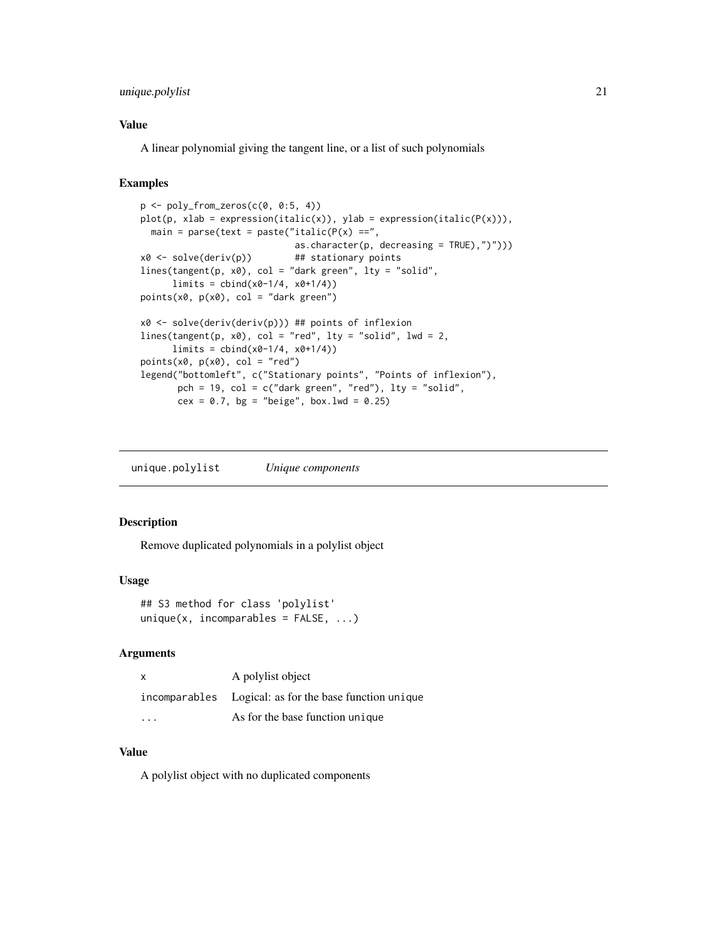# <span id="page-20-0"></span>unique.polylist 21

#### Value

A linear polynomial giving the tangent line, or a list of such polynomials

# Examples

```
p \leftarrow poly\_from\_zeros(c(0, 0:5, 4))plot(p, xlab = expression(italic(x)), ylab = expression(italic(P(x))),main = parse(text = paste("italic(P(x) ==",
                              as.character(p, decreasing = TRUE),")")))
x0 \leq -solve(deriv(p)) ## stationary points
lines(tangent(p, x0), col = "dark green", lty = "solid",
      limits = <i>cbind</i>(<i>x</i>0-1/4, <i>x</i>0+1/4))points(x0, p(x0), col = "dark green")x0 <- solve(deriv(deriv(p))) ## points of inflexion
lines(tangent(p, x0), col = "red", lty = "solid", lwd = 2,
      limits = <math>cbind(x0-1/4, x0+1/4)</math>points(x0, p(x0), col = "red")legend("bottomleft", c("Stationary points", "Points of inflexion"),
       pch = 19, col = c("dark green", "red"), lty = "solid",
       cex = 0.7, bg = "beige", box.lwd = 0.25)
```
unique.polylist *Unique components*

# Description

Remove duplicated polynomials in a polylist object

#### Usage

```
## S3 method for class 'polylist'
unique(x, incomparables = FALSE, ...)
```
#### Arguments

| X | A polylist object                                      |
|---|--------------------------------------------------------|
|   | incomparables Logical: as for the base function unique |
| . | As for the base function unique                        |

#### Value

A polylist object with no duplicated components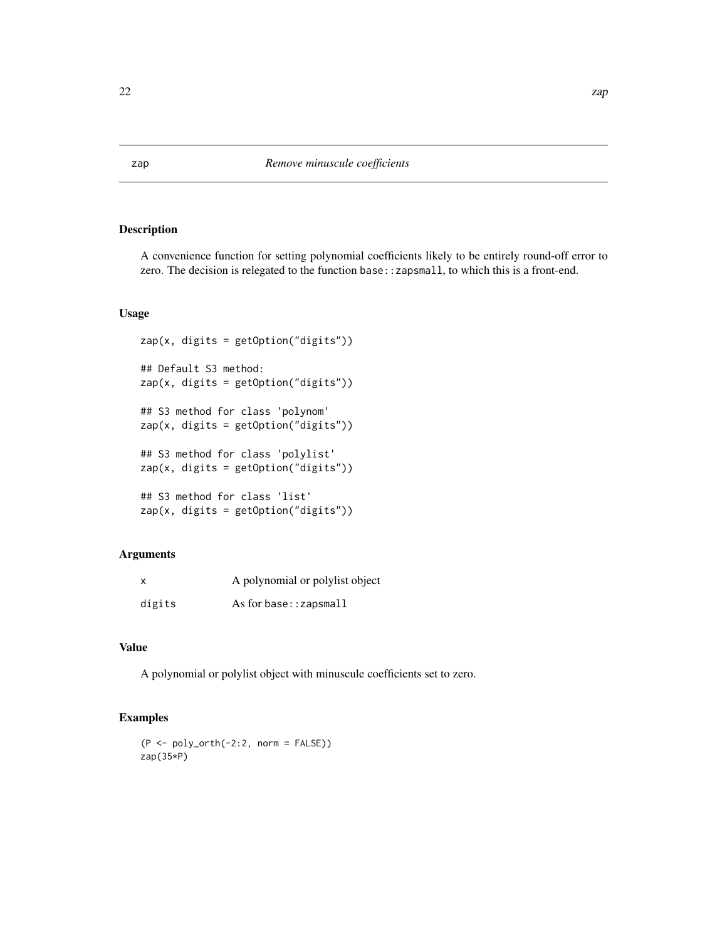<span id="page-21-0"></span>A convenience function for setting polynomial coefficients likely to be entirely round-off error to zero. The decision is relegated to the function base::zapsmall, to which this is a front-end.

## Usage

```
zap(x, digits = getOption("digits"))## Default S3 method:
zap(x, digits = getOption("digits"))
## S3 method for class 'polynom'
zap(x, digits = getOption("digits"))## S3 method for class 'polylist'
zap(x, digits = getOption("digits"))
## S3 method for class 'list'
zap(x, digits = getOption("digits"))
```
# Arguments

| X      | A polynomial or polylist object |
|--------|---------------------------------|
| digits | As for base: $:z$ apsmall       |

#### Value

A polynomial or polylist object with minuscule coefficients set to zero.

```
(P <- poly_orth(-2:2, norm = FALSE))
zap(35*P)
```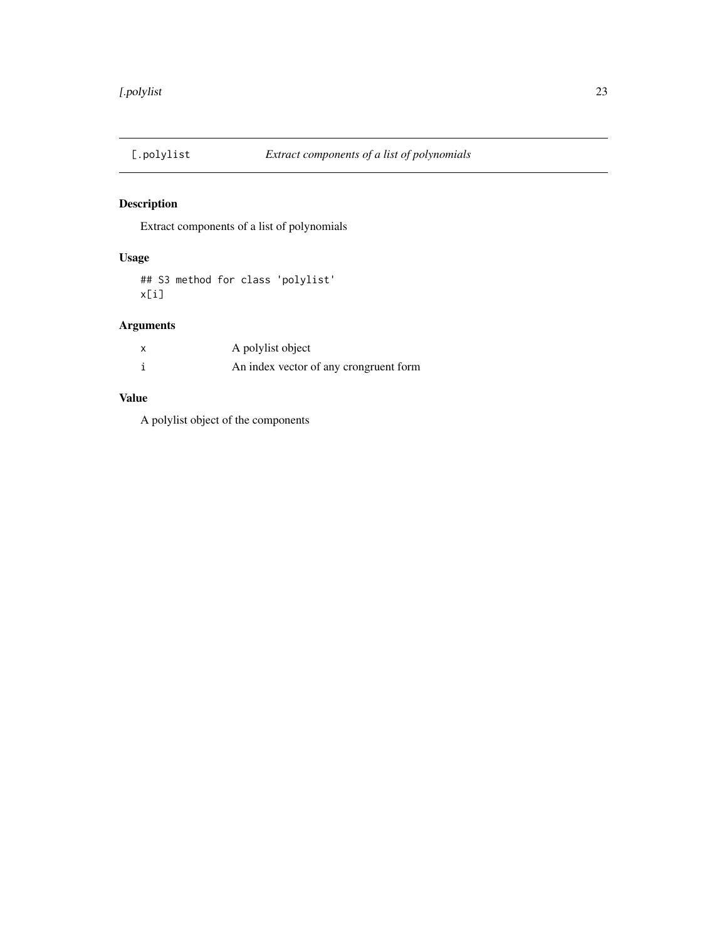<span id="page-22-0"></span>

Extract components of a list of polynomials

# Usage

## S3 method for class 'polylist' x[i]

# Arguments

| A polylist object                      |
|----------------------------------------|
| An index vector of any crongruent form |

# Value

A polylist object of the components